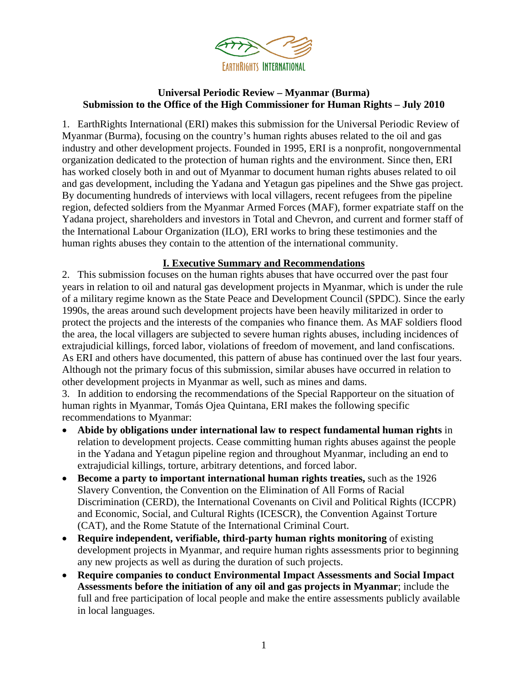

# **Universal Periodic Review – Myanmar (Burma) Submission to the Office of the High Commissioner for Human Rights – July 2010**

1. EarthRights International (ERI) makes this submission for the Universal Periodic Review of Myanmar (Burma), focusing on the country's human rights abuses related to the oil and gas industry and other development projects. Founded in 1995, ERI is a nonprofit, nongovernmental organization dedicated to the protection of human rights and the environment. Since then, ERI has worked closely both in and out of Myanmar to document human rights abuses related to oil and gas development, including the Yadana and Yetagun gas pipelines and the Shwe gas project. By documenting hundreds of interviews with local villagers, recent refugees from the pipeline region, defected soldiers from the Myanmar Armed Forces (MAF), former expatriate staff on the Yadana project, shareholders and investors in Total and Chevron, and current and former staff of the International Labour Organization (ILO), ERI works to bring these testimonies and the human rights abuses they contain to the attention of the international community.

# **I. Executive Summary and Recommendations**

2. This submission focuses on the human rights abuses that have occurred over the past four years in relation to oil and natural gas development projects in Myanmar, which is under the rule of a military regime known as the State Peace and Development Council (SPDC). Since the early 1990s, the areas around such development projects have been heavily militarized in order to protect the projects and the interests of the companies who finance them. As MAF soldiers flood the area, the local villagers are subjected to severe human rights abuses, including incidences of extrajudicial killings, forced labor, violations of freedom of movement, and land confiscations. As ERI and others have documented, this pattern of abuse has continued over the last four years. Although not the primary focus of this submission, similar abuses have occurred in relation to other development projects in Myanmar as well, such as mines and dams.

3. In addition to endorsing the recommendations of the Special Rapporteur on the situation of human rights in Myanmar, Tomás Ojea Quintana, ERI makes the following specific recommendations to Myanmar:

- **Abide by obligations under international law to respect fundamental human rights** in relation to development projects. Cease committing human rights abuses against the people in the Yadana and Yetagun pipeline region and throughout Myanmar, including an end to extrajudicial killings, torture, arbitrary detentions, and forced labor.
- **Become a party to important international human rights treaties,** such as the 1926 Slavery Convention, the Convention on the Elimination of All Forms of Racial Discrimination (CERD), the International Covenants on Civil and Political Rights (ICCPR) and Economic, Social, and Cultural Rights (ICESCR), the Convention Against Torture (CAT), and the Rome Statute of the International Criminal Court.
- **Require independent, verifiable, third-party human rights monitoring** of existing development projects in Myanmar, and require human rights assessments prior to beginning any new projects as well as during the duration of such projects.
- **Require companies to conduct Environmental Impact Assessments and Social Impact Assessments before the initiation of any oil and gas projects in Myanmar**; include the full and free participation of local people and make the entire assessments publicly available in local languages.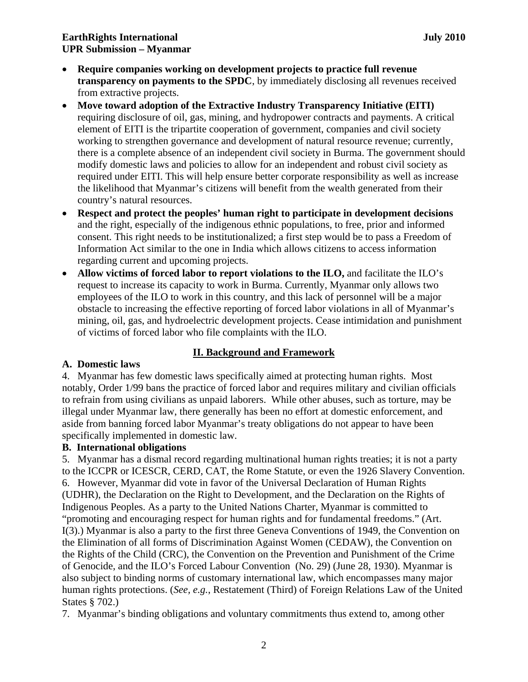# **EarthRights International July 2010 UPR Submission – Myanmar**

- **Require companies working on development projects to practice full revenue transparency on payments to the SPDC**, by immediately disclosing all revenues received from extractive projects.
- **Move toward adoption of the Extractive Industry Transparency Initiative (EITI)**  requiring disclosure of oil, gas, mining, and hydropower contracts and payments. A critical element of EITI is the tripartite cooperation of government, companies and civil society working to strengthen governance and development of natural resource revenue; currently, there is a complete absence of an independent civil society in Burma. The government should modify domestic laws and policies to allow for an independent and robust civil society as required under EITI. This will help ensure better corporate responsibility as well as increase the likelihood that Myanmar's citizens will benefit from the wealth generated from their country's natural resources.
- **Respect and protect the peoples' human right to participate in development decisions**  and the right, especially of the indigenous ethnic populations, to free, prior and informed consent. This right needs to be institutionalized; a first step would be to pass a Freedom of Information Act similar to the one in India which allows citizens to access information regarding current and upcoming projects.
- **Allow victims of forced labor to report violations to the ILO,** and facilitate the ILO's request to increase its capacity to work in Burma. Currently, Myanmar only allows two employees of the ILO to work in this country, and this lack of personnel will be a major obstacle to increasing the effective reporting of forced labor violations in all of Myanmar's mining, oil, gas, and hydroelectric development projects. Cease intimidation and punishment of victims of forced labor who file complaints with the ILO.

# **II. Background and Framework**

#### **A. Domestic laws**

4. Myanmar has few domestic laws specifically aimed at protecting human rights. Most notably, Order 1/99 bans the practice of forced labor and requires military and civilian officials to refrain from using civilians as unpaid laborers. While other abuses, such as torture, may be illegal under Myanmar law, there generally has been no effort at domestic enforcement, and aside from banning forced labor Myanmar's treaty obligations do not appear to have been specifically implemented in domestic law.

# **B. International obligations**

5. Myanmar has a dismal record regarding multinational human rights treaties; it is not a party to the ICCPR or ICESCR, CERD, CAT, the Rome Statute, or even the 1926 Slavery Convention. 6. However, Myanmar did vote in favor of the Universal Declaration of Human Rights (UDHR), the Declaration on the Right to Development, and the Declaration on the Rights of Indigenous Peoples. As a party to the United Nations Charter, Myanmar is committed to "promoting and encouraging respect for human rights and for fundamental freedoms." (Art. I(3).) Myanmar is also a party to the first three Geneva Conventions of 1949, the Convention on the Elimination of all forms of Discrimination Against Women (CEDAW), the Convention on the Rights of the Child (CRC), the Convention on the Prevention and Punishment of the Crime of Genocide, and the ILO's Forced Labour Convention (No. 29) (June 28, 1930). Myanmar is also subject to binding norms of customary international law, which encompasses many major human rights protections. (*See, e.g.*, Restatement (Third) of Foreign Relations Law of the United States § 702.)

7. Myanmar's binding obligations and voluntary commitments thus extend to, among other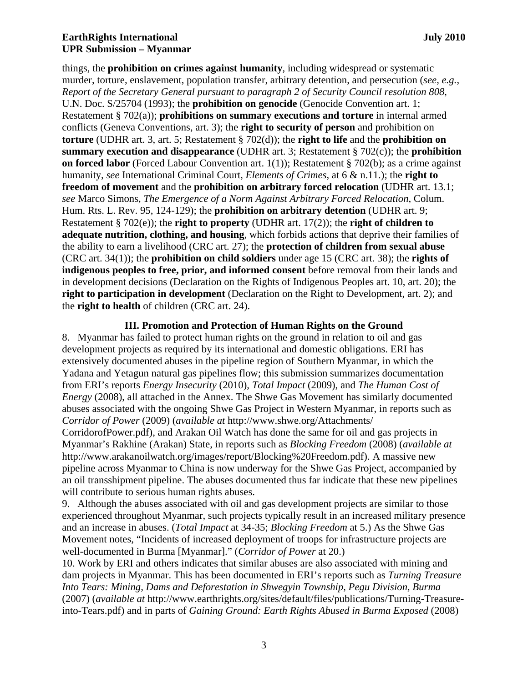# **EarthRights International July 2010 UPR Submission – Myanmar**

things, the **prohibition on crimes against humanity**, including widespread or systematic murder, torture, enslavement, population transfer, arbitrary detention, and persecution (*see, e.g.*, *Report of the Secretary General pursuant to paragraph 2 of Security Council resolution 808*, U.N. Doc. S/25704 (1993); the **prohibition on genocide** (Genocide Convention art. 1; Restatement § 702(a)); **prohibitions on summary executions and torture** in internal armed conflicts (Geneva Conventions, art. 3); the **right to security of person** and prohibition on **torture** (UDHR art. 3, art. 5; Restatement § 702(d)); the **right to life** and the **prohibition on summary execution and disappearance** (UDHR art. 3; Restatement § 702(c)); the **prohibition on forced labor** (Forced Labour Convention art. 1(1)); Restatement § 702(b); as a crime against humanity, *see* International Criminal Court, *Elements of Crimes*, at 6 & n.11.); the **right to freedom of movement** and the **prohibition on arbitrary forced relocation** (UDHR art. 13.1; *see* Marco Simons, *The Emergence of a Norm Against Arbitrary Forced Relocation*, Colum. Hum. Rts. L. Rev. 95, 124-129); the **prohibition on arbitrary detention** (UDHR art. 9; Restatement § 702(e)); the **right to property** (UDHR art. 17(2)); the **right of children to adequate nutrition, clothing, and housing**, which forbids actions that deprive their families of the ability to earn a livelihood (CRC art. 27); the **protection of children from sexual abuse** (CRC art. 34(1)); the **prohibition on child soldiers** under age 15 (CRC art. 38); the **rights of indigenous peoples to free, prior, and informed consent** before removal from their lands and in development decisions (Declaration on the Rights of Indigenous Peoples art. 10, art. 20); the **right to participation in development** (Declaration on the Right to Development, art. 2); and the **right to health** of children (CRC art. 24).

#### **III. Promotion and Protection of Human Rights on the Ground**

8. Myanmar has failed to protect human rights on the ground in relation to oil and gas development projects as required by its international and domestic obligations. ERI has extensively documented abuses in the pipeline region of Southern Myanmar, in which the Yadana and Yetagun natural gas pipelines flow; this submission summarizes documentation from ERI's reports *Energy Insecurity* (2010), *Total Impact* (2009), and *The Human Cost of Energy* (2008), all attached in the Annex. The Shwe Gas Movement has similarly documented abuses associated with the ongoing Shwe Gas Project in Western Myanmar, in reports such as *Corridor of Power* (2009) (*available at* http://www.shwe.org/Attachments/

CorridorofPower.pdf), and Arakan Oil Watch has done the same for oil and gas projects in Myanmar's Rakhine (Arakan) State, in reports such as *Blocking Freedom* (2008) (*available at* http://www.arakanoilwatch.org/images/report/Blocking%20Freedom.pdf). A massive new pipeline across Myanmar to China is now underway for the Shwe Gas Project, accompanied by an oil transshipment pipeline. The abuses documented thus far indicate that these new pipelines will contribute to serious human rights abuses.

9. Although the abuses associated with oil and gas development projects are similar to those experienced throughout Myanmar, such projects typically result in an increased military presence and an increase in abuses. (*Total Impact* at 34-35; *Blocking Freedom* at 5.) As the Shwe Gas Movement notes, "Incidents of increased deployment of troops for infrastructure projects are well-documented in Burma [Myanmar]." (*Corridor of Power* at 20.)

10. Work by ERI and others indicates that similar abuses are also associated with mining and dam projects in Myanmar. This has been documented in ERI's reports such as *Turning Treasure Into Tears: Mining, Dams and Deforestation in Shwegyin Township, Pegu Division, Burma* (2007) (*available at* http://www.earthrights.org/sites/default/files/publications/Turning-Treasureinto-Tears.pdf) and in parts of *Gaining Ground: Earth Rights Abused in Burma Exposed* (2008)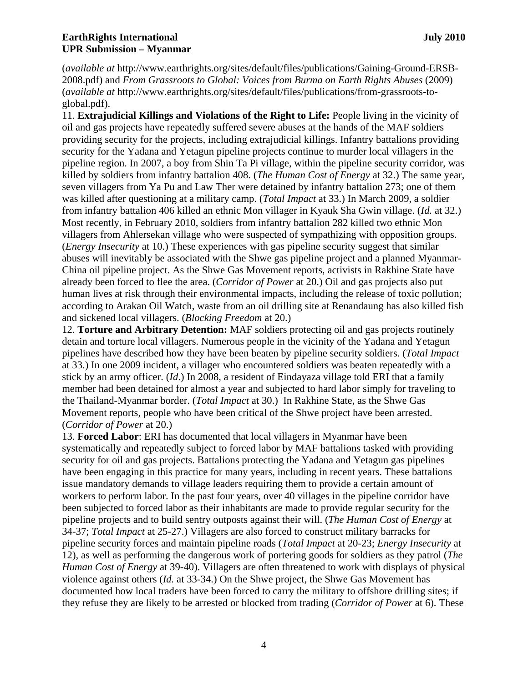# **EarthRights International distribution in the set of the set of the set of the set of the set of the set of the set of the set of the set of the set of the set of the set of the set of the set of the set of the set of the UPR Submission – Myanmar**

(*available at* http://www.earthrights.org/sites/default/files/publications/Gaining-Ground-ERSB-2008.pdf) and *From Grassroots to Global: Voices from Burma on Earth Rights Abuses* (2009) (*available at* http://www.earthrights.org/sites/default/files/publications/from-grassroots-toglobal.pdf).

11. **Extrajudicial Killings and Violations of the Right to Life:** People living in the vicinity of oil and gas projects have repeatedly suffered severe abuses at the hands of the MAF soldiers providing security for the projects, including extrajudicial killings. Infantry battalions providing security for the Yadana and Yetagun pipeline projects continue to murder local villagers in the pipeline region. In 2007, a boy from Shin Ta Pi village, within the pipeline security corridor, was killed by soldiers from infantry battalion 408. (*The Human Cost of Energy* at 32.) The same year, seven villagers from Ya Pu and Law Ther were detained by infantry battalion 273; one of them was killed after questioning at a military camp. (*Total Impact* at 33.) In March 2009, a soldier from infantry battalion 406 killed an ethnic Mon villager in Kyauk Sha Gwin village. (*Id.* at 32.) Most recently, in February 2010, soldiers from infantry battalion 282 killed two ethnic Mon villagers from Ahlersekan village who were suspected of sympathizing with opposition groups. (*Energy Insecurity* at 10.) These experiences with gas pipeline security suggest that similar abuses will inevitably be associated with the Shwe gas pipeline project and a planned Myanmar-China oil pipeline project. As the Shwe Gas Movement reports, activists in Rakhine State have already been forced to flee the area. (*Corridor of Power* at 20.) Oil and gas projects also put human lives at risk through their environmental impacts, including the release of toxic pollution; according to Arakan Oil Watch, waste from an oil drilling site at Renandaung has also killed fish and sickened local villagers. (*Blocking Freedom* at 20.)

12. **Torture and Arbitrary Detention:** MAF soldiers protecting oil and gas projects routinely detain and torture local villagers. Numerous people in the vicinity of the Yadana and Yetagun pipelines have described how they have been beaten by pipeline security soldiers. (*Total Impact* at 33.) In one 2009 incident, a villager who encountered soldiers was beaten repeatedly with a stick by an army officer. (*Id*.) In 2008, a resident of Eindayaza village told ERI that a family member had been detained for almost a year and subjected to hard labor simply for traveling to the Thailand-Myanmar border. (*Total Impact* at 30.) In Rakhine State, as the Shwe Gas Movement reports, people who have been critical of the Shwe project have been arrested. (*Corridor of Power* at 20.)

13. **Forced Labor**: ERI has documented that local villagers in Myanmar have been systematically and repeatedly subject to forced labor by MAF battalions tasked with providing security for oil and gas projects. Battalions protecting the Yadana and Yetagun gas pipelines have been engaging in this practice for many years, including in recent years. These battalions issue mandatory demands to village leaders requiring them to provide a certain amount of workers to perform labor. In the past four years, over 40 villages in the pipeline corridor have been subjected to forced labor as their inhabitants are made to provide regular security for the pipeline projects and to build sentry outposts against their will. (*The Human Cost of Energy* at 34-37; *Total Impact* at 25-27.) Villagers are also forced to construct military barracks for pipeline security forces and maintain pipeline roads (*Total Impact* at 20-23; *Energy Insecurity* at 12), as well as performing the dangerous work of portering goods for soldiers as they patrol (*The Human Cost of Energy* at 39-40). Villagers are often threatened to work with displays of physical violence against others (*Id.* at 33-34.) On the Shwe project, the Shwe Gas Movement has documented how local traders have been forced to carry the military to offshore drilling sites; if they refuse they are likely to be arrested or blocked from trading (*Corridor of Power* at 6). These